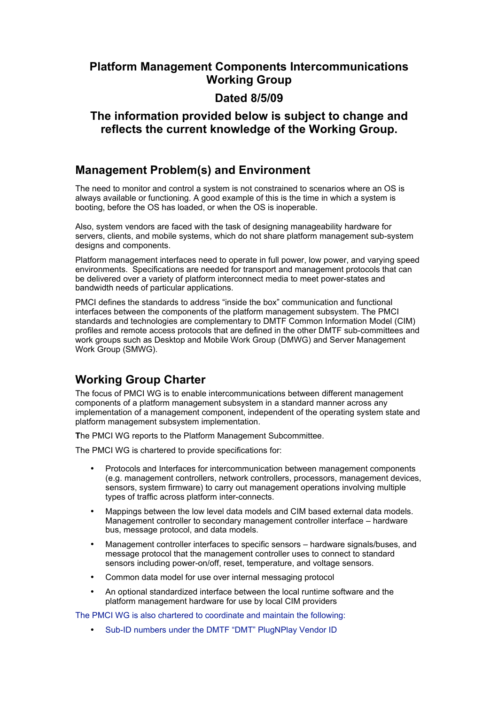#### **Platform Management Components Intercommunications Working Group**

#### **Dated 8/5/09**

#### **The information provided below is subject to change and reflects the current knowledge of the Working Group.**

#### **Management Problem(s) and Environment**

The need to monitor and control a system is not constrained to scenarios where an OS is always available or functioning. A good example of this is the time in which a system is booting, before the OS has loaded, or when the OS is inoperable.

Also, system vendors are faced with the task of designing manageability hardware for servers, clients, and mobile systems, which do not share platform management sub-system designs and components.

Platform management interfaces need to operate in full power, low power, and varying speed environments. Specifications are needed for transport and management protocols that can be delivered over a variety of platform interconnect media to meet power-states and bandwidth needs of particular applications.

PMCI defines the standards to address "inside the box" communication and functional interfaces between the components of the platform management subsystem. The PMCI standards and technologies are complementary to DMTF Common Information Model (CIM) profiles and remote access protocols that are defined in the other DMTF sub-committees and work groups such as Desktop and Mobile Work Group (DMWG) and Server Management Work Group (SMWG).

## **Working Group Charter**

The focus of PMCI WG is to enable intercommunications between different management components of a platform management subsystem in a standard manner across any implementation of a management component, independent of the operating system state and platform management subsystem implementation.

**T**he PMCI WG reports to the Platform Management Subcommittee.

The PMCI WG is chartered to provide specifications for:

- Protocols and Interfaces for intercommunication between management components (e.g. management controllers, network controllers, processors, management devices, sensors, system firmware) to carry out management operations involving multiple types of traffic across platform inter-connects.
- Mappings between the low level data models and CIM based external data models. Management controller to secondary management controller interface – hardware bus, message protocol, and data models.
- Management controller interfaces to specific sensors hardware signals/buses, and message protocol that the management controller uses to connect to standard sensors including power-on/off, reset, temperature, and voltage sensors.
- Common data model for use over internal messaging protocol
- An optional standardized interface between the local runtime software and the platform management hardware for use by local CIM providers

The PMCI WG is also chartered to coordinate and maintain the following:

Sub-ID numbers under the DMTF "DMT" PlugNPlay Vendor ID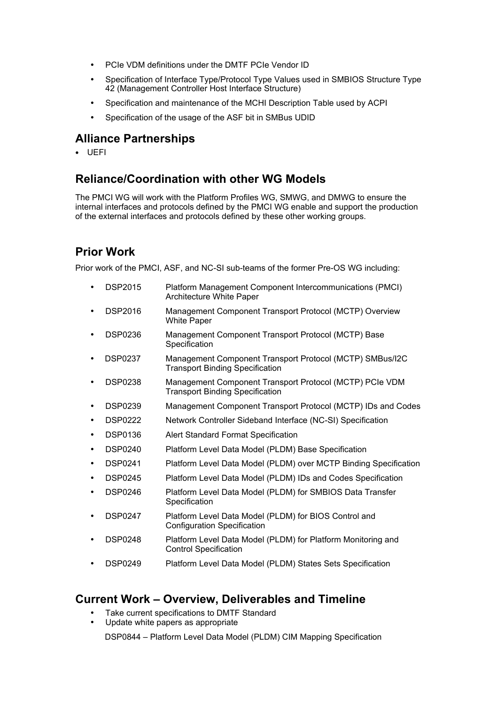- PCIe VDM definitions under the DMTF PCIe Vendor ID
- Specification of Interface Type/Protocol Type Values used in SMBIOS Structure Type 42 (Management Controller Host Interface Structure)
- Specification and maintenance of the MCHI Description Table used by ACPI
- Specification of the usage of the ASF bit in SMBus UDID

## **Alliance Partnerships**

• UEFI

## **Reliance/Coordination with other WG Models**

The PMCI WG will work with the Platform Profiles WG, SMWG, and DMWG to ensure the internal interfaces and protocols defined by the PMCI WG enable and support the production of the external interfaces and protocols defined by these other working groups.

## **Prior Work**

Prior work of the PMCI, ASF, and NC-SI sub-teams of the former Pre-OS WG including:

- DSP2015 Platform Management Component Intercommunications (PMCI) Architecture White Paper
- DSP2016 Management Component Transport Protocol (MCTP) Overview White Paper
- DSP0236 Management Component Transport Protocol (MCTP) Base **Specification**
- DSP0237 Management Component Transport Protocol (MCTP) SMBus/I2C Transport Binding Specification
- DSP0238 Management Component Transport Protocol (MCTP) PCIe VDM Transport Binding Specification
- DSP0239 Management Component Transport Protocol (MCTP) IDs and Codes
- DSP0222 Network Controller Sideband Interface (NC-SI) Specification
- DSP0136 Alert Standard Format Specification
- DSP0240 Platform Level Data Model (PLDM) Base Specification
- DSP0241 Platform Level Data Model (PLDM) over MCTP Binding Specification
- DSP0245 Platform Level Data Model (PLDM) IDs and Codes Specification
- DSP0246 Platform Level Data Model (PLDM) for SMBIOS Data Transfer **Specification**
- DSP0247 Platform Level Data Model (PLDM) for BIOS Control and Configuration Specification
- DSP0248 Platform Level Data Model (PLDM) for Platform Monitoring and Control Specification
- DSP0249 Platform Level Data Model (PLDM) States Sets Specification

#### **Current Work – Overview, Deliverables and Timeline**

- Take current specifications to DMTF Standard
- Update white papers as appropriate

DSP0844 – Platform Level Data Model (PLDM) CIM Mapping Specification